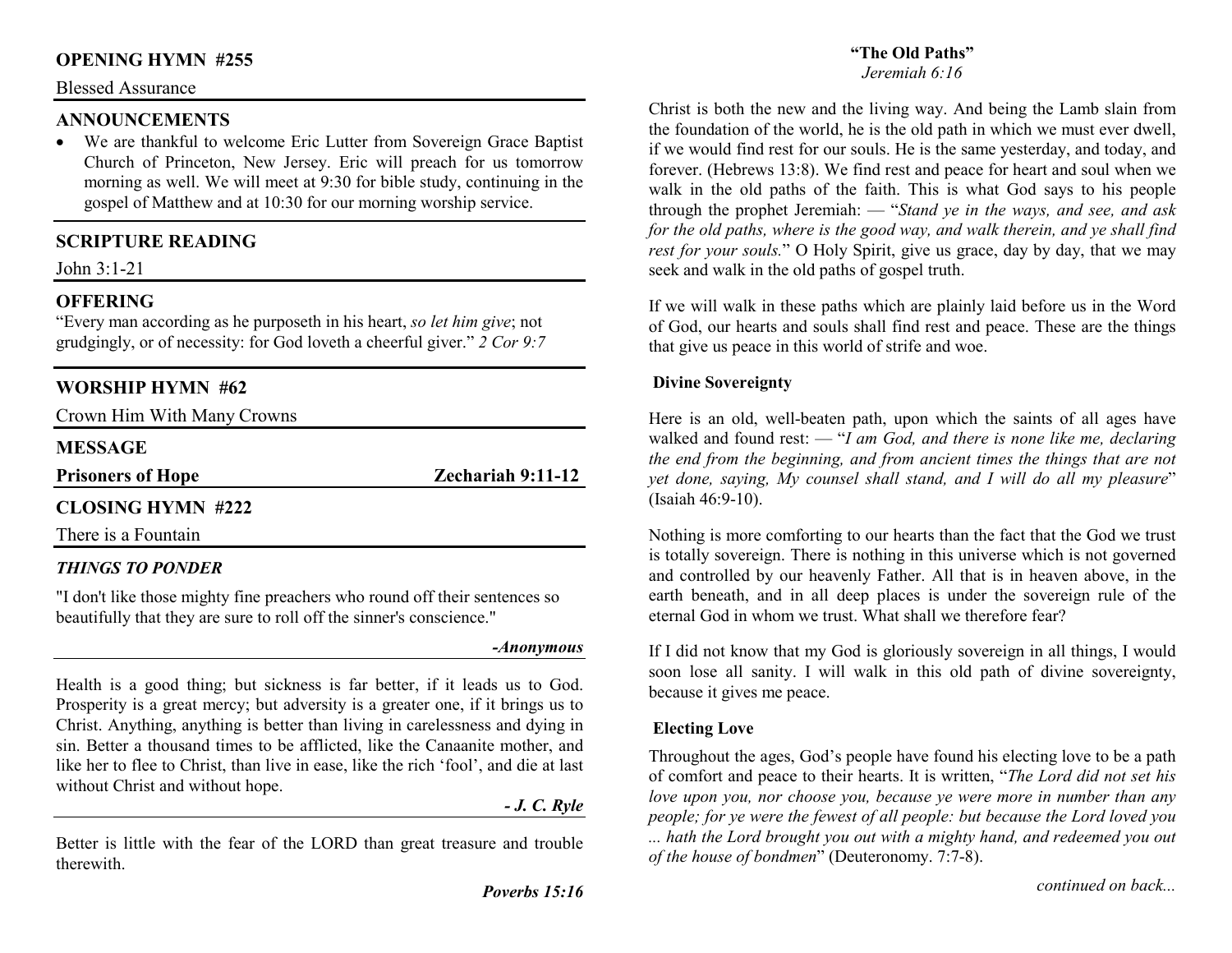# **OPENING HYMN #255**

#### Blessed Assurance

#### **ANNOUNCEMENTS**

 • We are thankful to welcome Eric Lutter from Sovereign Grace Baptist Church of Princeton, New Jersey. Eric will preach for us tomorrow morning as well. We will meet at 9:30 for bible study, continuing in the gospel of Matthew and at 10:30 for our morning worship service.

# **SCRIPTURE READING**

John 3:1-21

# **OFFERING**

 "Every man according as he purposeth in his heart, *so let him give*; not grudgingly, or of necessity: for God loveth a cheerful giver." *2 Cor 9:7*

# **WORSHIP HYMN #62**

Crown Him With Many Crowns

#### **MESSAGE**

**Prisoners of Hope Zechariah 9:11-12** 

# **CLOSING HYMN #222**

There is a Fountain

# *THINGS TO PONDER*

"I don't like those mighty fine preachers who round off their sentences so beautifully that they are sure to roll off the sinner's conscience."

*-Anonymous* 

Health is a good thing; but sickness is far better, if it leads us to God. Prosperity is a great mercy; but adversity is a greater one, if it brings us to Christ. Anything, anything is better than living in carelessness and dying in sin. Better a thousand times to be afflicted, like the Canaanite mother, and like her to flee to Christ, than live in ease, like the rich 'fool', and die at last without Christ and without hope.

*- J. C. Ryle* 

Better is little with the fear of the LORD than great treasure and trouble therewith.

# **"The Old Paths"**

#### *Jeremiah 6:16*

Christ is both the new and the living way. And being the Lamb slain from the foundation of the world, he is the old path in which we must ever dwell, if we would find rest for our souls. He is the same yesterday, and today, and forever. (Hebrews 13:8). We find rest and peace for heart and soul when we walk in the old paths of the faith. This is what God says to his people through the prophet Jeremiah: — "*Stand ye in the ways, and see, and ask* for the old paths, where is the good way, and walk therein, and ye shall find *rest for your souls.*" O Holy Spirit, give us grace, day by day, that we may seek and walk in the old paths of gospel truth.

If we will walk in these paths which are plainly laid before us in the Word of God, our hearts and souls shall find rest and peace. These are the things that give us peace in this world of strife and woe.

#### **Divine Sovereignty**

Here is an old, well-beaten path, upon which the saints of all ages have walked and found rest: — "*I am God, and there is none like me, declaring the end from the beginning, and from ancient times the things that are not yet done, saying, My counsel shall stand, and I will do all my pleasure*" (Isaiah 46:9-10).

Nothing is more comforting to our hearts than the fact that the God we trust is totally sovereign. There is nothing in this universe which is not governed and controlled by our heavenly Father. All that is in heaven above, in the earth beneath, and in all deep places is under the sovereign rule of the eternal God in whom we trust. What shall we therefore fear?

If I did not know that my God is gloriously sovereign in all things, I would soon lose all sanity. I will walk in this old path of divine sovereignty, because it gives me peace.

#### **Electing Love**

Throughout the ages, God's people have found his electing love to be a path of comfort and peace to their hearts. It is written, "*The Lord did not set his love upon you, nor choose you, because ye were more in number than any people; for ye were the fewest of all people: but because the Lord loved you ... hath the Lord brought you out with a mighty hand, and redeemed you out of the house of bondmen*" (Deuteronomy. 7:7-8).

*continued on back...*